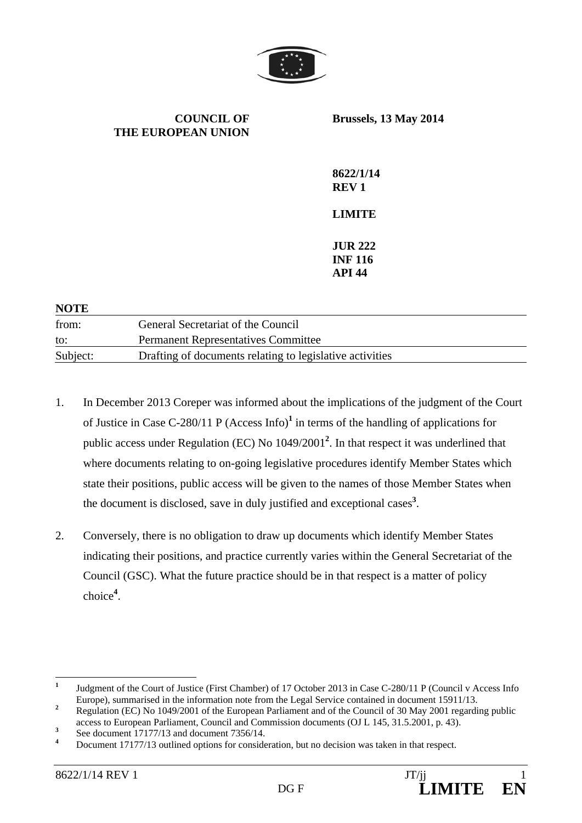

**COUNCIL OF THE EUROPEAN UNION Brussels, 13 May 2014 8622/1/14 REV 1 LIMITE JUR 222 INF 116 API 44** 

| 11VID    |                                                          |
|----------|----------------------------------------------------------|
| from:    | General Secretariat of the Council                       |
| to:      | <b>Permanent Representatives Committee</b>               |
| Subject: | Drafting of documents relating to legislative activities |
|          |                                                          |

- 1. In December 2013 Coreper was informed about the implications of the judgment of the Court of Justice in Case C-280/11 P (Access Info)**<sup>1</sup>** in terms of the handling of applications for public access under Regulation (EC) No 1049/2001**<sup>2</sup>** . In that respect it was underlined that where documents relating to on-going legislative procedures identify Member States which state their positions, public access will be given to the names of those Member States when the document is disclosed, save in duly justified and exceptional cases**<sup>3</sup>** .
- 2. Conversely, there is no obligation to draw up documents which identify Member States indicating their positions, and practice currently varies within the General Secretariat of the Council (GSC). What the future practice should be in that respect is a matter of policy choice**<sup>4</sup>** .

**NOTE** 

 **1** Judgment of the Court of Justice (First Chamber) of 17 October 2013 in Case C-280/11 P (Council v Access Info Europe), summarised in the information note from the Legal Service contained in document 15911/13.

Regulation (EC) No 1049/2001 of the European Parliament and of the Council of 30 May 2001 regarding public access to European Parliament, Council and Commission documents (OJ L 145, 31.5.2001, p. 43).

**<sup>3</sup>** See document 17177/13 and document 7356/14.

**<sup>4</sup>** Document 17177/13 outlined options for consideration, but no decision was taken in that respect.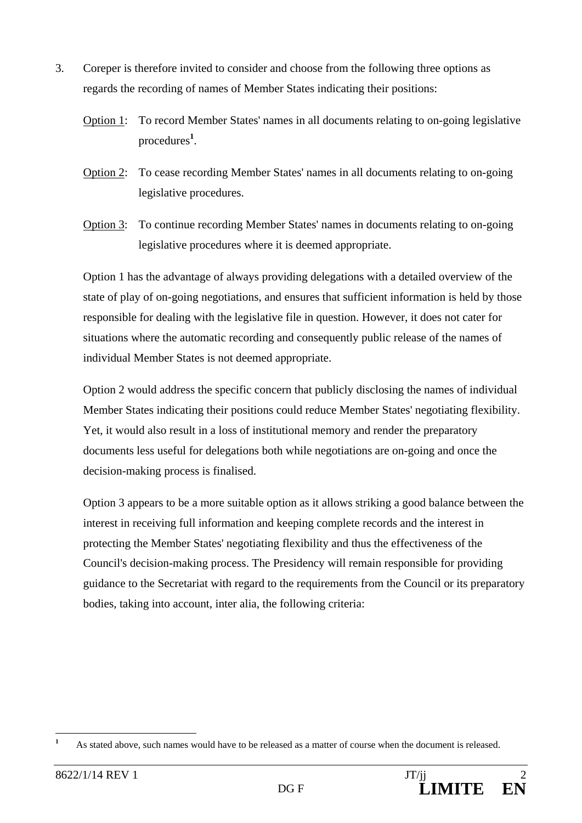- 3. Coreper is therefore invited to consider and choose from the following three options as regards the recording of names of Member States indicating their positions:
	- Option 1: To record Member States' names in all documents relating to on-going legislative procedures**<sup>1</sup>** .
	- Option 2: To cease recording Member States' names in all documents relating to on-going legislative procedures.
	- Option 3: To continue recording Member States' names in documents relating to on-going legislative procedures where it is deemed appropriate.

Option 1 has the advantage of always providing delegations with a detailed overview of the state of play of on-going negotiations, and ensures that sufficient information is held by those responsible for dealing with the legislative file in question. However, it does not cater for situations where the automatic recording and consequently public release of the names of individual Member States is not deemed appropriate.

Option 2 would address the specific concern that publicly disclosing the names of individual Member States indicating their positions could reduce Member States' negotiating flexibility. Yet, it would also result in a loss of institutional memory and render the preparatory documents less useful for delegations both while negotiations are on-going and once the decision-making process is finalised.

Option 3 appears to be a more suitable option as it allows striking a good balance between the interest in receiving full information and keeping complete records and the interest in protecting the Member States' negotiating flexibility and thus the effectiveness of the Council's decision-making process. The Presidency will remain responsible for providing guidance to the Secretariat with regard to the requirements from the Council or its preparatory bodies, taking into account, inter alia, the following criteria:

 **1** As stated above, such names would have to be released as a matter of course when the document is released.